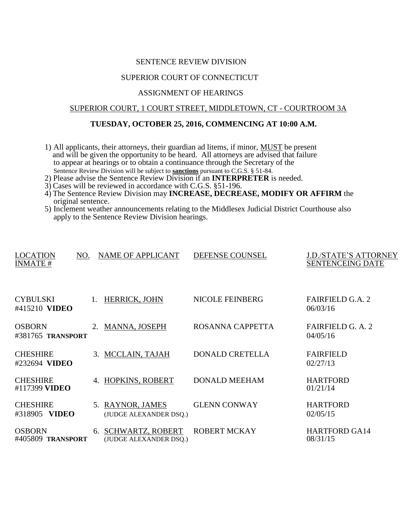## SENTENCE REVIEW DIVISION

# SUPERIOR COURT OF CONNECTICUT

#### ASSIGNMENT OF HEARINGS

### SUPERIOR COURT, 1 COURT STREET, MIDDLETOWN, CT - COURTROOM 3A

## **TUESDAY, OCTOBER 25, 2016, COMMENCING AT 10:00 A.M.**

- 1) All applicants, their attorneys, their guardian ad litems, if minor, MUST be present and will be given the opportunity to be heard. All attorneys are advised that failure to appear at hearings or to obtain a continuance through the Secretary of the Sentence Review Division will be subject to **sanctions** pursuant to C.G.S. § 51-84.
- 2) Please advise the Sentence Review Division if an **INTERPRETER** is needed.
- 3) Cases will be reviewed in accordance with C.G.S. §51-196.
- 4) The Sentence Review Division may **INCREASE, DECREASE, MODIFY OR AFFIRM** the original sentence.
- 5) Inclement weather announcements relating to the Middlesex Judicial District Courthouse also apply to the Sentence Review Division hearings.

| <b>LOCATION</b><br><b>INMATE#</b>       | NO.            | <b>NAME OF APPLICANT</b>                      | DEFENSE COUNSEL        | J.D./STATE'S ATTORNEY<br><b>SENTENCEING DATE</b> |
|-----------------------------------------|----------------|-----------------------------------------------|------------------------|--------------------------------------------------|
| <b>CYBULSKI</b><br>#415210 <b>VIDEO</b> | $\mathbf{1}$ . | <b>HERRICK, JOHN</b>                          | NICOLE FEINBERG        | <b>FAIRFIELD G.A. 2</b><br>06/03/16              |
| <b>OSBORN</b><br>#381765 TRANSPORT      | 2.             | MANNA, JOSEPH                                 | ROSANNA CAPPETTA       | FAIRFIELD G. A. 2<br>04/05/16                    |
| <b>CHESHIRE</b><br>#232694 VIDEO        |                | 3. MCCLAIN, TAJAH                             | <b>DONALD CRETELLA</b> | <b>FAIRFIELD</b><br>02/27/13                     |
| <b>CHESHIRE</b><br>#117399 VIDEO        |                | 4. HOPKINS, ROBERT                            | <b>DONALD MEEHAM</b>   | <b>HARTFORD</b><br>01/21/14                      |
| <b>CHESHIRE</b><br>#318905 VIDEO        |                | 5. RAYNOR, JAMES<br>(JUDGE ALEXANDER DSQ.)    | <b>GLENN CONWAY</b>    | <b>HARTFORD</b><br>02/05/15                      |
| <b>OSBORN</b><br>#405809 TRANSPORT      |                | 6. SCHWARTZ, ROBERT<br>(JUDGE ALEXANDER DSQ.) | <b>ROBERT MCKAY</b>    | <b>HARTFORD GA14</b><br>08/31/15                 |